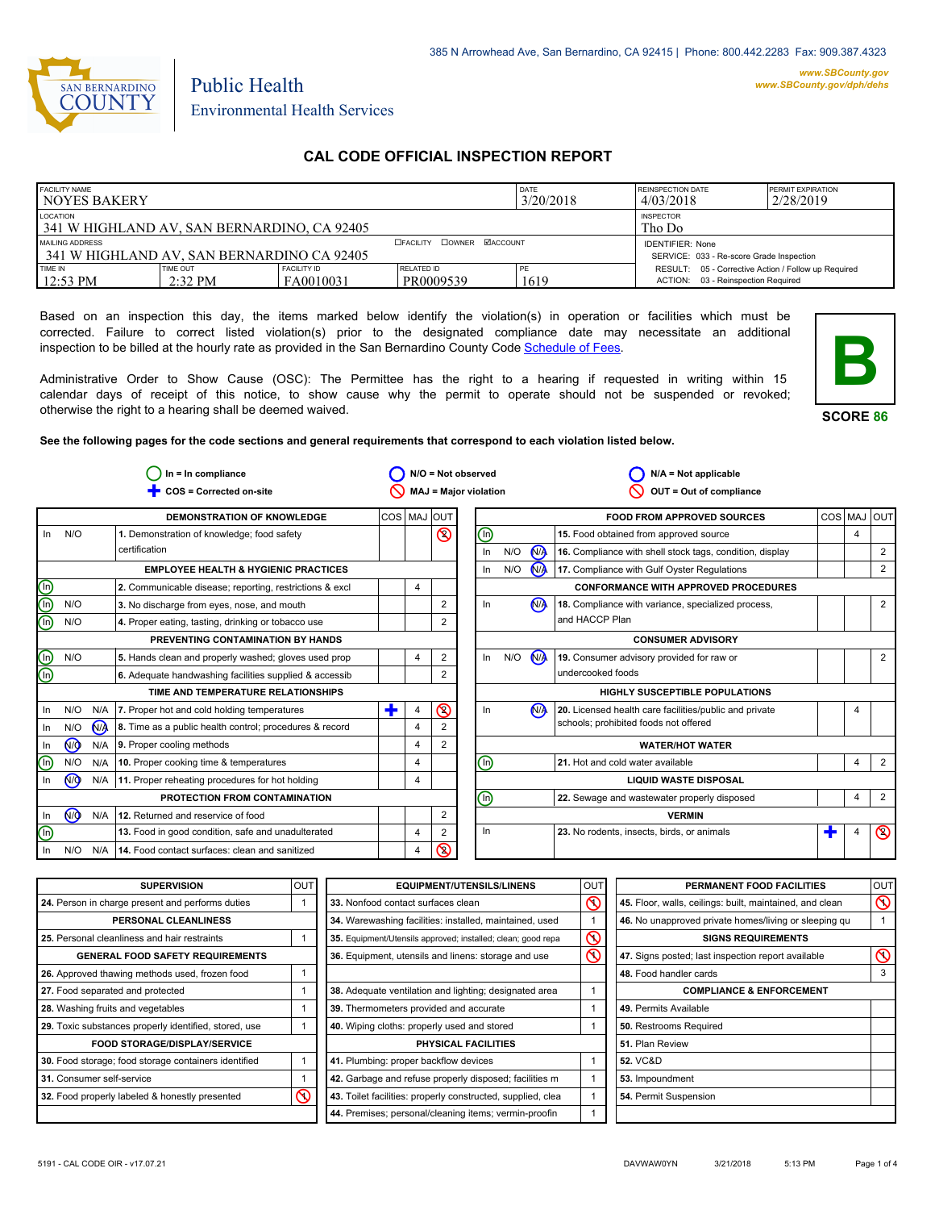

# Public Health Environmental Health Services

# **CAL CODE OFFICIAL INSPECTION REPORT**

| <b>FACILITY NAME</b><br><b>NOYES BAKERY</b>                    |                       |                                 |                                                                     | DATE<br>3/20/2018 | <b>REINSPECTION DATE</b><br>4/03/2018                                                        | <b>PERMIT EXPIRATION</b><br>2/28/2019 |
|----------------------------------------------------------------|-----------------------|---------------------------------|---------------------------------------------------------------------|-------------------|----------------------------------------------------------------------------------------------|---------------------------------------|
| LOCATION<br>l 341 W HIGHLAND AV. SAN BERNARDINO. CA 92405      |                       | <b>INSPECTOR</b><br>Tho Do      |                                                                     |                   |                                                                                              |                                       |
| MAILING ADDRESS<br>1341 W HIGHLAND AV. SAN BERNARDINO CA 92405 |                       | <b>CEACLITY COWNER MACCOUNT</b> | <b>IDENTIFIER: None</b><br>SERVICE: 033 - Re-score Grade Inspection |                   |                                                                                              |                                       |
| TIME IN<br>$12:53 \text{ PM}$                                  | TIME OUT<br>$2:32$ PM | <b>FACILITY ID</b><br>FA0010031 | RELATED ID<br>PR0009539                                             | PE<br>1619        | RESULT: 05 - Corrective Action / Follow up Required<br>03 - Reinspection Required<br>ACTION: |                                       |

Based on an inspection this day, the items marked below identify the violation(s) in operation or facilities which must be corrected. Failure to correct listed violation(s) prior to the designated compliance date may necessitate an additional inspection to be billed at the hourly rate as provided in the San Bernardino County Code Schedule [of Fees.](http://www.amlegal.com/nxt/gateway.dll/California/sanbernardinocounty_ca/title1governmentandadministration/division6countyfees/chapter2scheduleoffees?f=templates$fn=default.htm$3.0$vid=amlegal:sanbernardinocounty_ca$anc=JD_16.0213B)

Administrative Order to Show Cause (OSC): The Permittee has the right to a hearing if requested in writing within 15 calendar days of receipt of this notice, to show cause why the permit to operate should not be suspended or revoked; otherwise the right to a hearing shall be deemed waived.



**SCORE 86**

**See the following pages for the code sections and general requirements that correspond to each violation listed below.**

|                           |                      |     | $In = In$ compliance                                    |   |             | $N/O = Not observed$         |                                       |                              |     |                 | $N/A = Not applicable$                                   |   |                |                |
|---------------------------|----------------------|-----|---------------------------------------------------------|---|-------------|------------------------------|---------------------------------------|------------------------------|-----|-----------------|----------------------------------------------------------|---|----------------|----------------|
|                           |                      |     | COS = Corrected on-site                                 |   |             | <b>MAJ = Major violation</b> |                                       |                              |     |                 | OUT = Out of compliance                                  |   |                |                |
|                           |                      |     | <b>DEMONSTRATION OF KNOWLEDGE</b>                       |   | COS MAJ OUT |                              |                                       |                              |     |                 | <b>FOOD FROM APPROVED SOURCES</b>                        |   |                | COS MAJ OUT    |
| $\ln$                     | N/O                  |     | 1. Demonstration of knowledge; food safety              |   |             | $\circledcirc$               |                                       | ⋒                            |     |                 | 15. Food obtained from approved source                   |   | $\overline{4}$ |                |
|                           |                      |     | certification                                           |   |             |                              |                                       | In                           | N/O | <b>M</b>        | 16. Compliance with shell stock tags, condition, display |   |                | $\overline{2}$ |
|                           |                      |     | <b>EMPLOYEE HEALTH &amp; HYGIENIC PRACTICES</b>         |   |             |                              |                                       | In                           | N/O | N <sub>/</sub>  | 17. Compliance with Gulf Oyster Regulations              |   |                | $\overline{2}$ |
| ec                        |                      |     | 2. Communicable disease; reporting, restrictions & excl |   | 4           |                              |                                       |                              |     |                 | <b>CONFORMANCE WITH APPROVED PROCEDURES</b>              |   |                |                |
|                           | N/O                  |     | 3. No discharge from eyes, nose, and mouth              |   |             | 2                            |                                       | In                           |     | (N <sub>)</sub> | 18. Compliance with variance, specialized process,       |   |                | $\overline{2}$ |
| $^\text{\textregistered}$ | N/O                  |     | 4. Proper eating, tasting, drinking or tobacco use      |   |             | 2                            |                                       |                              |     |                 | and HACCP Plan                                           |   |                |                |
|                           |                      |     | PREVENTING CONTAMINATION BY HANDS                       |   |             |                              |                                       |                              |     |                 | <b>CONSUMER ADVISORY</b>                                 |   |                |                |
|                           | N/O                  |     | 5. Hands clean and properly washed; gloves used prop    |   | 4           | 2                            |                                       | In                           | N/O | N               | 19. Consumer advisory provided for raw or                |   |                | 2              |
| <u>මල</u>                 |                      |     | 6. Adequate handwashing facilities supplied & accessib  |   |             | $\overline{2}$               |                                       |                              |     |                 | undercooked foods                                        |   |                |                |
|                           |                      |     | TIME AND TEMPERATURE RELATIONSHIPS                      |   |             |                              | <b>HIGHLY SUSCEPTIBLE POPULATIONS</b> |                              |     |                 |                                                          |   |                |                |
| In                        | N/O                  | N/A | 7. Proper hot and cold holding temperatures             | ٠ | 4           | $\circledcirc$               |                                       | In                           |     | N <sub>1</sub>  | 20. Licensed health care facilities/public and private   |   |                |                |
| In                        | N/O                  | N/A | 8. Time as a public health control; procedures & record |   | 4           | $\overline{2}$               |                                       |                              |     |                 | schools; prohibited foods not offered                    |   |                |                |
| In                        | N <sub>O</sub>       | N/A | 9. Proper cooling methods                               |   | 4           | $\overline{2}$               |                                       |                              |     |                 | <b>WATER/HOT WATER</b>                                   |   |                |                |
| ⋒                         | N/O                  | N/A | 10. Proper cooking time & temperatures                  |   | 4           |                              |                                       | ⋒                            |     |                 | 21. Hot and cold water available                         |   | 4              | 2              |
| In                        | <b>N<sub>O</sub></b> |     | N/A   11. Proper reheating procedures for hot holding   |   | 4           |                              |                                       | <b>LIQUID WASTE DISPOSAL</b> |     |                 |                                                          |   |                |                |
|                           |                      |     | PROTECTION FROM CONTAMINATION                           |   |             |                              |                                       | ⋒                            |     |                 | 22. Sewage and wastewater properly disposed              |   | 4              | $\overline{2}$ |
| In                        | <b>N<sub>O</sub></b> |     | N/A 12. Returned and reservice of food                  |   |             | 2                            |                                       |                              |     |                 | <b>VERMIN</b>                                            |   |                |                |
| ⋒                         |                      |     | 13. Food in good condition, safe and unadulterated      |   | 4           | 2                            |                                       | In                           |     |                 | 23. No rodents, insects, birds, or animals               | Ŧ | 4              | $\circledcirc$ |
| In                        | N/O                  | N/A | 14. Food contact surfaces: clean and sanitized          |   | 4           | $\circledcirc$               |                                       |                              |     |                 |                                                          |   |                |                |

| <b>SUPERVISION</b>                                    | <b>OUT</b> | <b>EQUIPMENT/UTENSILS/LINENS</b>                             | OU <sub>1</sub> | PERMANENT FOOD FACILITIES                                | lout           |
|-------------------------------------------------------|------------|--------------------------------------------------------------|-----------------|----------------------------------------------------------|----------------|
| 24. Person in charge present and performs duties      |            | 33. Nonfood contact surfaces clean                           | σ               | 45. Floor, walls, ceilings: built, maintained, and clean | $\infty$       |
| PERSONAL CLEANLINESS                                  |            | 34. Warewashing facilities: installed, maintained, used      |                 | 46. No unapproved private homes/living or sleeping qu    |                |
| 25. Personal cleanliness and hair restraints          |            | 35. Equipment/Utensils approved; installed; clean; good repa | S               | <b>SIGNS REQUIREMENTS</b>                                |                |
| <b>GENERAL FOOD SAFETY REQUIREMENTS</b>               |            | 36. Equipment, utensils and linens: storage and use          | $\mathcal{C}$   | 47. Signs posted; last inspection report available       | $\circledcirc$ |
| 26. Approved thawing methods used, frozen food        |            |                                                              |                 | 48. Food handler cards                                   | 3              |
| 27. Food separated and protected                      |            | 38. Adequate ventilation and lighting; designated area       |                 | <b>COMPLIANCE &amp; ENFORCEMENT</b>                      |                |
| 28. Washing fruits and vegetables                     |            | 39. Thermometers provided and accurate                       |                 | 49. Permits Available                                    |                |
| 29. Toxic substances properly identified, stored, use |            | 40. Wiping cloths: properly used and stored                  |                 | 50. Restrooms Required                                   |                |
| <b>FOOD STORAGE/DISPLAY/SERVICE</b>                   |            | PHYSICAL FACILITIES                                          |                 | 51. Plan Review                                          |                |
| 30. Food storage; food storage containers identified  |            | 41. Plumbing: proper backflow devices                        |                 | <b>52. VC&amp;D</b>                                      |                |
| 31. Consumer self-service                             |            | 42. Garbage and refuse properly disposed; facilities m       |                 | 53. Impoundment                                          |                |
| 32. Food properly labeled & honestly presented        | ⋒          | 43. Toilet facilities: properly constructed, supplied, clea  |                 | 54. Permit Suspension                                    |                |
|                                                       |            | 44. Premises; personal/cleaning items; vermin-proofin        |                 |                                                          |                |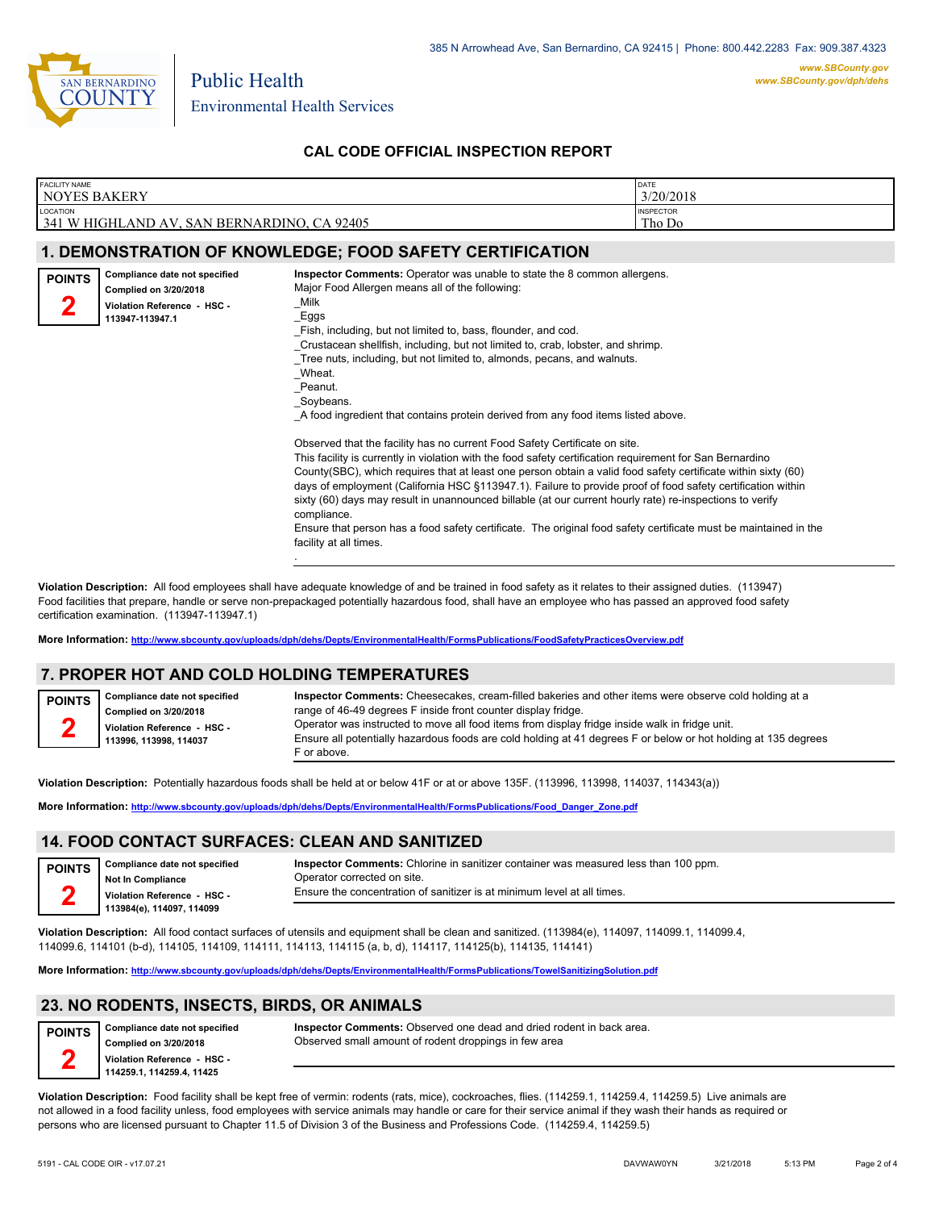

# **CAL CODE OFFICIAL INSPECTION REPORT**

| <b>FACILITY NAME</b><br><b>NOYES BAKERY</b> |                                                                                                          | DATE<br>3/20/2018                                                                                                                                                                                                                                                                                                                                                                                                                                                                                                                                                                                                                                                                                                                                                                                                                                                                                                                                                                                                                                                                                                                                                                                          |  |
|---------------------------------------------|----------------------------------------------------------------------------------------------------------|------------------------------------------------------------------------------------------------------------------------------------------------------------------------------------------------------------------------------------------------------------------------------------------------------------------------------------------------------------------------------------------------------------------------------------------------------------------------------------------------------------------------------------------------------------------------------------------------------------------------------------------------------------------------------------------------------------------------------------------------------------------------------------------------------------------------------------------------------------------------------------------------------------------------------------------------------------------------------------------------------------------------------------------------------------------------------------------------------------------------------------------------------------------------------------------------------------|--|
| LOCATION                                    | 341 W HIGHLAND AV, SAN BERNARDINO, CA 92405                                                              | <b>INSPECTOR</b><br>Tho Do                                                                                                                                                                                                                                                                                                                                                                                                                                                                                                                                                                                                                                                                                                                                                                                                                                                                                                                                                                                                                                                                                                                                                                                 |  |
|                                             |                                                                                                          | <b>1. DEMONSTRATION OF KNOWLEDGE; FOOD SAFETY CERTIFICATION</b>                                                                                                                                                                                                                                                                                                                                                                                                                                                                                                                                                                                                                                                                                                                                                                                                                                                                                                                                                                                                                                                                                                                                            |  |
| <b>POINTS</b>                               | Compliance date not specified<br>Complied on 3/20/2018<br>Violation Reference - HSC -<br>113947-113947.1 | Inspector Comments: Operator was unable to state the 8 common allergens.<br>Major Food Allergen means all of the following:<br>_Milk<br>_Eggs<br>Fish, including, but not limited to, bass, flounder, and cod.<br>Crustacean shellfish, including, but not limited to, crab, lobster, and shrimp.<br>Tree nuts, including, but not limited to, almonds, pecans, and walnuts.<br>_Wheat.<br>_Peanut.<br>_Soybeans.<br>A food ingredient that contains protein derived from any food items listed above.<br>Observed that the facility has no current Food Safety Certificate on site.<br>This facility is currently in violation with the food safety certification requirement for San Bernardino<br>County(SBC), which requires that at least one person obtain a valid food safety certificate within sixty (60)<br>days of employment (California HSC §113947.1). Failure to provide proof of food safety certification within<br>sixty (60) days may result in unannounced billable (at our current hourly rate) re-inspections to verify<br>compliance.<br>Ensure that person has a food safety certificate. The original food safety certificate must be maintained in the<br>facility at all times. |  |
|                                             |                                                                                                          |                                                                                                                                                                                                                                                                                                                                                                                                                                                                                                                                                                                                                                                                                                                                                                                                                                                                                                                                                                                                                                                                                                                                                                                                            |  |

**Violation Description:** All food employees shall have adequate knowledge of and be trained in food safety as it relates to their assigned duties. (113947) Food facilities that prepare, handle or serve non-prepackaged potentially hazardous food, shall have an employee who has passed an approved food safety certification examination. (113947-113947.1)

**More Information: <http://www.sbcounty.gov/uploads/dph/dehs/Depts/EnvironmentalHealth/FormsPublications/FoodSafetyPracticesOverview.pdf>**

### **7. PROPER HOT AND COLD HOLDING TEMPERATURES**

**Compliance date not specified Complied on 3/20/2018 Violation Reference - HSC - 113996, 113998, 114037 POINTS 2 Inspector Comments:** Cheesecakes, cream-filled bakeries and other items were observe cold holding at a range of 46-49 degrees F inside front counter display fridge. Operator was instructed to move all food items from display fridge inside walk in fridge unit. Ensure all potentially hazardous foods are cold holding at 41 degrees F or below or hot holding at 135 degrees F or above.

**Violation Description:** Potentially hazardous foods shall be held at or below 41F or at or above 135F. (113996, 113998, 114037, 114343(a))

**More Information: [http://www.sbcounty.gov/uploads/dph/dehs/Depts/EnvironmentalHealth/FormsPublications/Food\\_Danger\\_Zone.pdf](http://www.sbcounty.gov/uploads/dph/dehs/Depts/EnvironmentalHealth/FormsPublications/Food_Danger_Zone.pdf)**

### **14. FOOD CONTACT SURFACES: CLEAN AND SANITIZED**

| POINTS Compliance date not specified | <b>Inspector Comments:</b> Chlorine in sanitizer container was measured less than 100 ppm. |
|--------------------------------------|--------------------------------------------------------------------------------------------|
| Not In Compliance                    | Operator corrected on site.                                                                |
| Violation Reference - HSC -          | Ensure the concentration of sanitizer is at minimum level at all times.                    |
| 113984(e), 114097, 114099            |                                                                                            |

**Violation Description:** All food contact surfaces of utensils and equipment shall be clean and sanitized. (113984(e), 114097, 114099.1, 114099.4, 114099.6, 114101 (b-d), 114105, 114109, 114111, 114113, 114115 (a, b, d), 114117, 114125(b), 114135, 114141)

**More Information: <http://www.sbcounty.gov/uploads/dph/dehs/Depts/EnvironmentalHealth/FormsPublications/TowelSanitizingSolution.pdf>**

# **23. NO RODENTS, INSECTS, BIRDS, OR ANIMALS**

**Compliance date not specified Complied on 3/20/2018 Violation Reference - HSC - 114259.1, 114259.4, 11425 POINTS 2**

**Inspector Comments:** Observed one dead and dried rodent in back area. Observed small amount of rodent droppings in few area

**Violation Description:** Food facility shall be kept free of vermin: rodents (rats, mice), cockroaches, flies. (114259.1, 114259.4, 114259.5) Live animals are not allowed in a food facility unless, food employees with service animals may handle or care for their service animal if they wash their hands as required or persons who are licensed pursuant to Chapter 11.5 of Division 3 of the Business and Professions Code. (114259.4, 114259.5)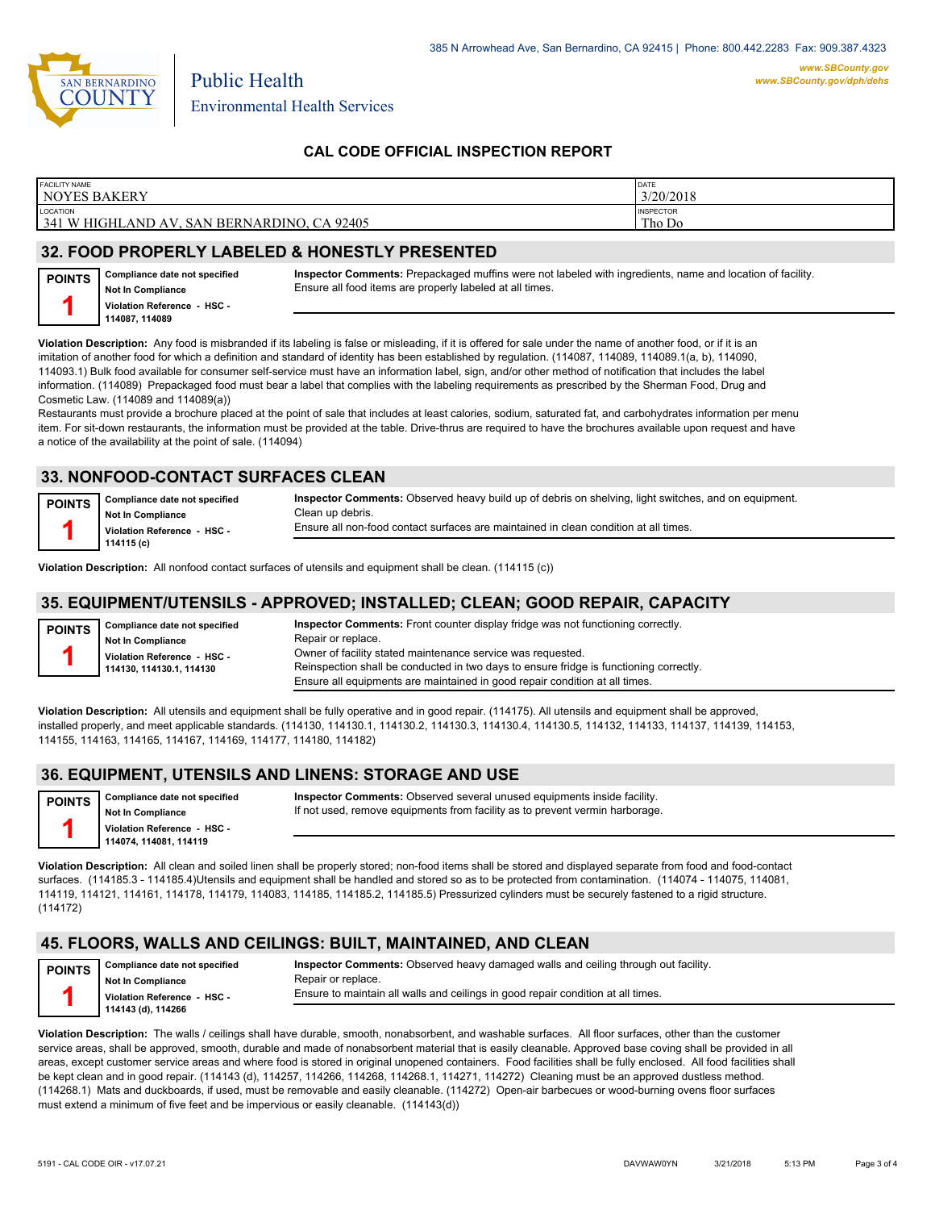

# **CAL CODE OFFICIAL INSPECTION REPORT**

| <b>FACILITY NAME</b><br>'NOYES BAKERY                              | DATE<br>3/20/2018          |
|--------------------------------------------------------------------|----------------------------|
| LOCATION<br>341 W HIGHLAND AV,<br>, SAN BERNARDINO, CA 9<br>192405 | <b>INSPECTOR</b><br>Tho Do |
|                                                                    |                            |

### **32. FOOD PROPERLY LABELED & HONESTLY PRESENTED**

| <b>POINTS</b> | Compliance date not specified |
|---------------|-------------------------------|
|               | Not In Compliance             |
|               | Violation Reference - HSC -   |
|               | 114087.114089                 |

**Inspector Comments:** Prepackaged muffins were not labeled with ingredients, name and location of facility. Ensure all food items are properly labeled at all times.

**Violation Description:** Any food is misbranded if its labeling is false or misleading, if it is offered for sale under the name of another food, or if it is an imitation of another food for which a definition and standard of identity has been established by regulation. (114087, 114089, 114089.1(a, b), 114090, 114093.1) Bulk food available for consumer self-service must have an information label, sign, and/or other method of notification that includes the label information. (114089) Prepackaged food must bear a label that complies with the labeling requirements as prescribed by the Sherman Food, Drug and Cosmetic Law. (114089 and 114089(a))

Restaurants must provide a brochure placed at the point of sale that includes at least calories, sodium, saturated fat, and carbohydrates information per menu item. For sit-down restaurants, the information must be provided at the table. Drive-thrus are required to have the brochures available upon request and have a notice of the availability at the point of sale. (114094)

### **33. NONFOOD-CONTACT SURFACES CLEAN**

| <b>POINTS</b> | Compliance date not specified | Inspector Comments: Observed heavy build up of debris on shelving, light switches, and on equipment. |
|---------------|-------------------------------|------------------------------------------------------------------------------------------------------|
|               | <b>Not In Compliance</b>      | Clean up debris.                                                                                     |
|               | Violation Reference - HSC -   | Ensure all non-food contact surfaces are maintained in clean condition at all times.                 |
|               | 114115 (c)                    |                                                                                                      |

**Violation Description:** All nonfood contact surfaces of utensils and equipment shall be clean. (114115 (c))

#### **35. EQUIPMENT/UTENSILS - APPROVED; INSTALLED; CLEAN; GOOD REPAIR, CAPACITY**

| <b>POINTS</b> | Compliance date not specified | <b>Inspector Comments:</b> Front counter display fridge was not functioning correctly. |  |  |
|---------------|-------------------------------|----------------------------------------------------------------------------------------|--|--|
|               | <b>Not In Compliance</b>      | Repair or replace.                                                                     |  |  |
|               | Violation Reference - HSC -   | Owner of facility stated maintenance service was requested.                            |  |  |
|               | 114130. 114130.1. 114130      | Reinspection shall be conducted in two days to ensure fridge is functioning correctly. |  |  |
|               |                               | Ensure all equipments are maintained in good repair condition at all times.            |  |  |

**Violation Description:** All utensils and equipment shall be fully operative and in good repair. (114175). All utensils and equipment shall be approved, installed properly, and meet applicable standards. (114130, 114130.1, 114130.2, 114130.3, 114130.4, 114130.5, 114132, 114133, 114137, 114139, 114153, 114155, 114163, 114165, 114167, 114169, 114177, 114180, 114182)

### **36. EQUIPMENT, UTENSILS AND LINENS: STORAGE AND USE**

| POINTS   Compliance date not specified |
|----------------------------------------|
| Not In Compliance                      |
| Violation Reference - HSC -            |
| 114074, 114081, 114119                 |

**Inspector Comments:** Observed several unused equipments inside facility. If not used, remove equipments from facility as to prevent vermin harborage.

**Violation Description:** All clean and soiled linen shall be properly stored; non-food items shall be stored and displayed separate from food and food-contact surfaces. (114185.3 - 114185.4)Utensils and equipment shall be handled and stored so as to be protected from contamination. (114074 - 114075, 114081, 114119, 114121, 114161, 114178, 114179, 114083, 114185, 114185.2, 114185.5) Pressurized cylinders must be securely fastened to a rigid structure. (114172)

### **45. FLOORS, WALLS AND CEILINGS: BUILT, MAINTAINED, AND CLEAN**

| <b>POINTS</b> | Compliance date not specified | Inspector Comments: Observed heavy damaged walls and ceiling through out facility. |
|---------------|-------------------------------|------------------------------------------------------------------------------------|
|               | Not In Compliance             | Repair or replace.                                                                 |
|               | Violation Reference - HSC -   | Ensure to maintain all walls and ceilings in good repair condition at all times.   |
|               | 114143 (d), 114266            |                                                                                    |

**Violation Description:** The walls / ceilings shall have durable, smooth, nonabsorbent, and washable surfaces. All floor surfaces, other than the customer service areas, shall be approved, smooth, durable and made of nonabsorbent material that is easily cleanable. Approved base coving shall be provided in all areas, except customer service areas and where food is stored in original unopened containers. Food facilities shall be fully enclosed. All food facilities shall be kept clean and in good repair. (114143 (d), 114257, 114266, 114268, 114268.1, 114271, 114272) Cleaning must be an approved dustless method. (114268.1) Mats and duckboards, if used, must be removable and easily cleanable. (114272) Open-air barbecues or wood-burning ovens floor surfaces must extend a minimum of five feet and be impervious or easily cleanable. (114143(d))